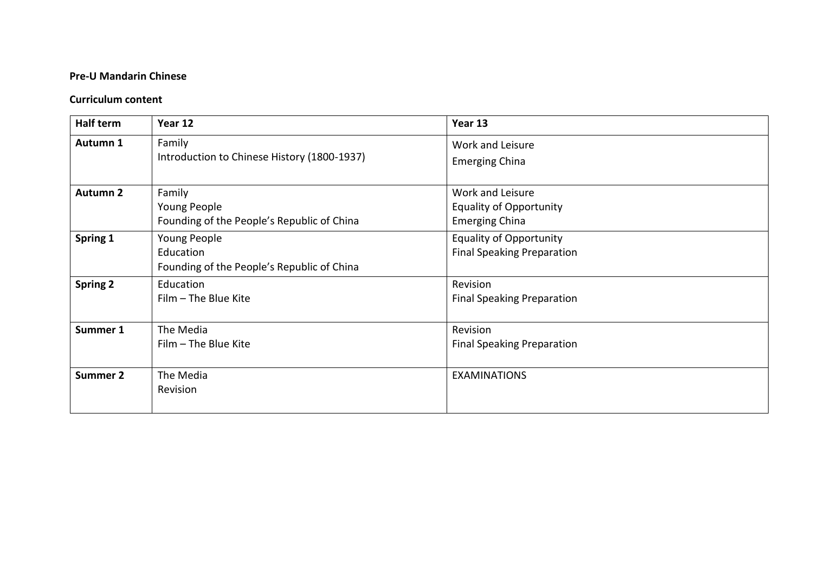## **Pre-U Mandarin Chinese**

## **Curriculum content**

| Half term       | Year 12                                                                 | Year 13                                                                     |
|-----------------|-------------------------------------------------------------------------|-----------------------------------------------------------------------------|
| Autumn 1        | Family<br>Introduction to Chinese History (1800-1937)                   | Work and Leisure<br><b>Emerging China</b>                                   |
| <b>Autumn 2</b> | Family<br>Young People<br>Founding of the People's Republic of China    | Work and Leisure<br><b>Equality of Opportunity</b><br><b>Emerging China</b> |
| Spring 1        | Young People<br>Education<br>Founding of the People's Republic of China | <b>Equality of Opportunity</b><br><b>Final Speaking Preparation</b>         |
| <b>Spring 2</b> | Education<br>Film - The Blue Kite                                       | Revision<br><b>Final Speaking Preparation</b>                               |
| Summer 1        | The Media<br>Film - The Blue Kite                                       | Revision<br><b>Final Speaking Preparation</b>                               |
| <b>Summer 2</b> | The Media<br>Revision                                                   | <b>EXAMINATIONS</b>                                                         |